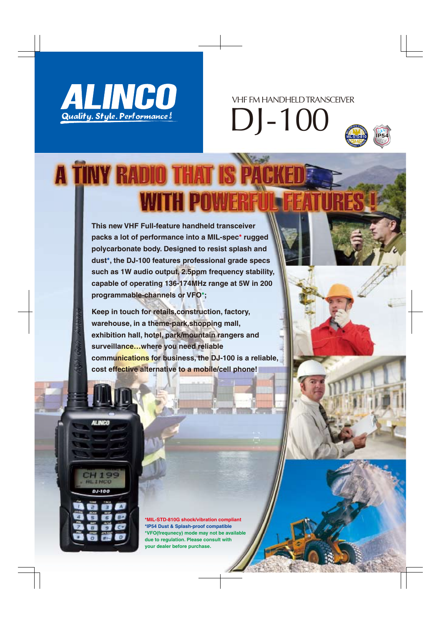

VHF FM HANDHELD TRANSCEIVER

DJ-100



## **A TINY RADIO THAT IS P WITH POW**

**This new VHF Full-feature handheld transceiver packs a lot of performance into a MIL-spec\* rugged polycarbonate body. Designed to resist splash and dust\*, the DJ-100 features professional grade specs such as 1W audio output, 2.5ppm frequency stability, capable of operating 136-174MHz range at 5W in 200 programmable-channels or VFO\*;** 

**Keep in touch for retails,construction, factory, warehouse, in a theme-park,shopping mall, exhibition hall, hotel, park/mountain rangers and surveillance…where you need reliable communications for business, the DJ-100 is a reliable, cost effective alternative to a mobile/cell phone!**

**ALINCO** 



**\*MIL-STD-810G shock/vibration compliant \*IP54 Dust & Splash-proof compatible \*VFO(frequnecy) mode may not be available due to regulation. Please consult with your dealer before purchase.**